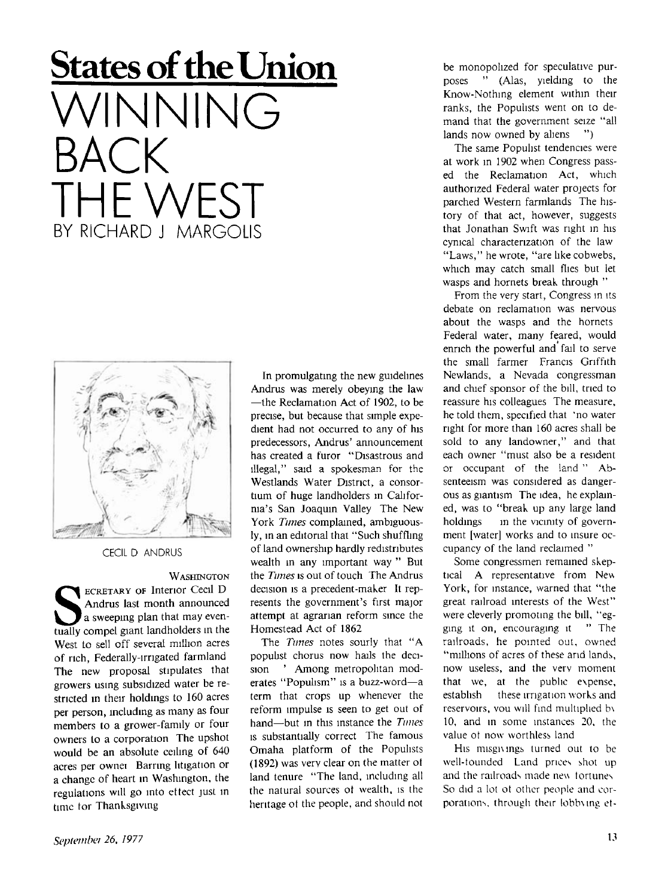## **States of the Union NNING** BACK THF WFST BY RICHARD J. MARGOLIS



CECIL D ANDRUS

**WASHINGTON**  WASHINGTON<br> **SECRETARY OF Interior Cecil D**<br>
a sweeping plan that may even-<br>
tually compel giant landholders in the **ECRETARY OF Interior Cecil D** Andrus last month announced a sweeping plan that may even-West to sell off several million acres of rich, Federally-irrigated farmland The new proposal stipulates that growers using subsidized water be restricted in their holdings to 160 acres per person, including as many as four members to a grower-family or four owners to a corporation The upshot would be an absolute ceiling of 640 acres per ownei Barring litigation or a change of heart in Washington, the regulations will go into eftect just in time tor Thanksgiving

In promulgating the new guidelines Andrus was merely obeying the law —the Reclamation Act of 1902, to be precise, but because that simple expedient had not occurred to any of his predecessors, Andrus' announcement has created a furor "Disastrous and illegal," said a spokesman for the Westlands Water District, a consortium of huge landholders m California's San Joaquin Valley The New York *Tunes* complained, ambiguously, in an editorial that "Such shuffling of land ownership hardly redistributes wealth in any important way " But the *Times* is out of touch The Andrus decision is a precedent-maker It represents the government's first major attempt at agrarian reform since the Homestead Act of 1862

The *Tunes* notes sourly that " A populist chorus now hails the decision ' Among metropolitan moderates "Populism" is a buzz-word—a term that crops up whenever the reform impulse is seen to get out of hand—but in this instance the *Times*  is substantially correct The famous Omaha platform of the Populists (1892) was verv clear on the matter ot land tenure "The land, including all the natural sources ot wealth, is the heritage ot the people, and should not

be monopolized for speculative purposes " (Alas, yielding to the Know-Nothing element within their ranks, the Populists went on to demand that the government seize "all lands now owned by aliens ")

The same Populist tendencies were at work in 1902 when Congress passed the Reclamation Act, which authorized Federal water projects for parched Western farmlands The history of that act, however, suggests that Jonathan Swift was right in his cynical characterization of the law "Laws," he wrote, "are like cobwebs, which may catch small flies but let wasps and hornets break through "

From the very start, Congress in its debate on reclamation was nervous about the wasps and the hornets Federal water, many feared, would enrich the powerful and fail to serve the small farmer Francis Griffith Newlands, a Nevada congressman and chief sponsor of the bill, tried to reassure his colleagues The measure, he told them, specified that "no water right for more than 160 acres shall be sold to any landowner," and that each owner "must also be a resident or occupant of the land " Ab senteeism was considered as dangerous as giantism The idea, he explained, was to "break up any large land holdings in the vicinity of government [water] works and to insure occupancy of the land reclaimed "

Some congressmen remained skeptical A representative from New York, for instance, warned that "the great railroad interests of the West" were cleverly promoting the bill, "egging it on, encouraging it " The railroads, he pointed out, owned "millions of acres of these and lands, now useless, and the verv moment that we, at the public expense, establish these irrigation works and reservoirs, vou will find multiplied b\ 10, and in some instances 20, the value ot now worthless land

His misgivings turned out to be well-tounded Land prices shot up and the railroads made new fortunes So did a lot ot other people and corporations, through their lobbung et